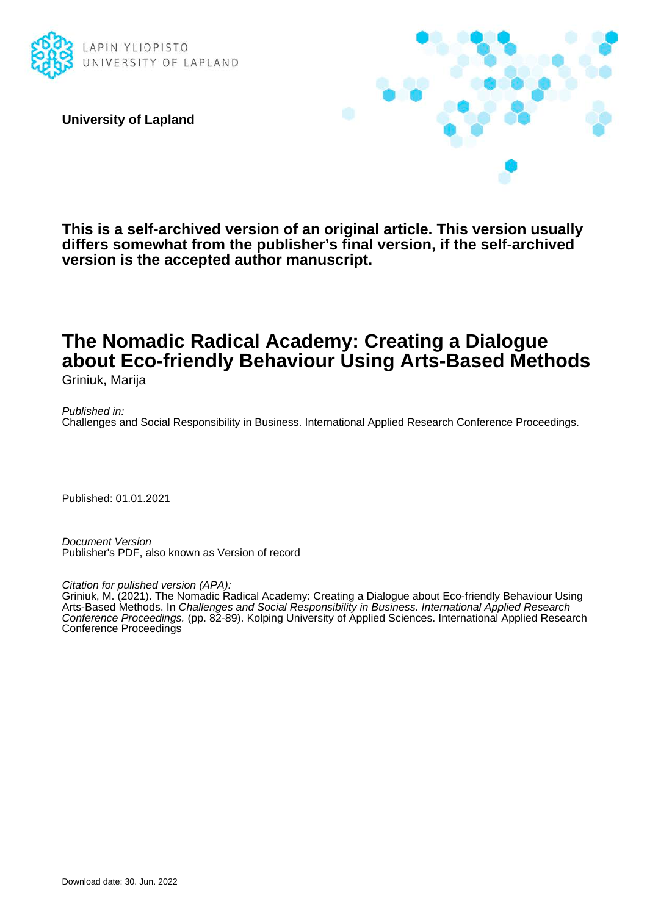

**University of Lapland**



**This is a self-archived version of an original article. This version usually differs somewhat from the publisher's final version, if the self-archived version is the accepted author manuscript.**

# **The Nomadic Radical Academy: Creating a Dialogue about Eco-friendly Behaviour Using Arts-Based Methods** Griniuk, Marija

Published in: Challenges and Social Responsibility in Business. International Applied Research Conference Proceedings.

Published: 01.01.2021

Document Version Publisher's PDF, also known as Version of record

Citation for pulished version (APA):

Griniuk, M. (2021). The Nomadic Radical Academy: Creating a Dialogue about Eco-friendly Behaviour Using Arts-Based Methods. In Challenges and Social Responsibility in Business. International Applied Research Conference Proceedings. (pp. 82-89). Kolping University of Applied Sciences. International Applied Research Conference Proceedings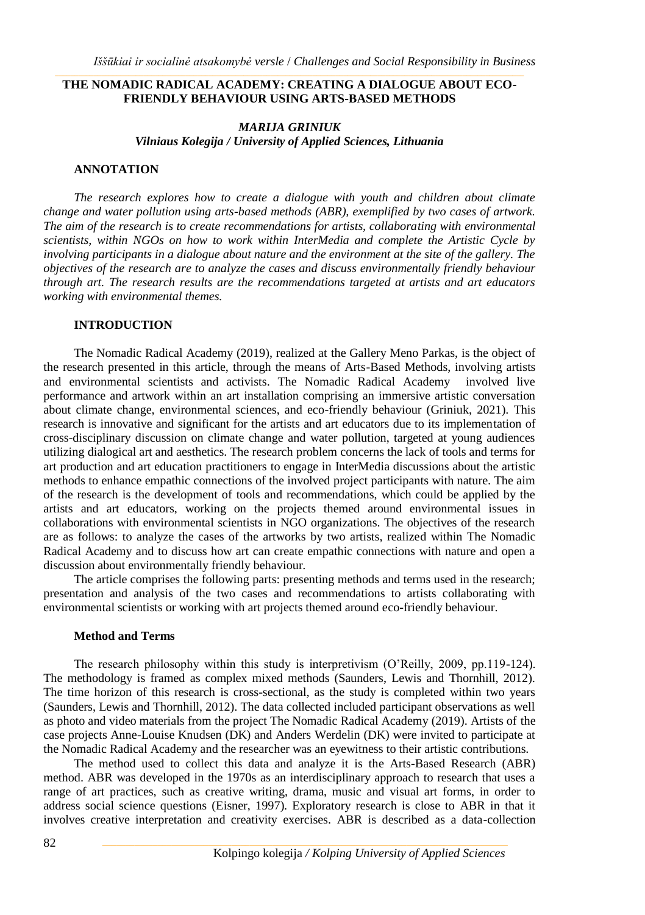# THE NOMADIC RADICAL ACADEMY: CREATING A DIALOGUE ABOUT ECO-**FRIENDLY BEHAVIOUR USING ARTS-BASED METHODS**

# *MARIJA GRINIUK Vilniaus Kolegija / University of Applied Sciences, Lithuania*

# **ANNOTATION**

*The research explores how to create a dialogue with youth and children about climate change and water pollution using arts-based methods (ABR), exemplified by two cases of artwork. The aim of the research is to create recommendations for artists, collaborating with environmental scientists, within NGOs on how to work within InterMedia and complete the Artistic Cycle by involving participants in a dialogue about nature and the environment at the site of the gallery. The objectives of the research are to analyze the cases and discuss environmentally friendly behaviour through art. The research results are the recommendations targeted at artists and art educators working with environmental themes.* 

# **INTRODUCTION**

The Nomadic Radical Academy (2019), realized at the Gallery Meno Parkas, is the object of the research presented in this article, through the means of Arts-Based Methods, involving artists and environmental scientists and activists. The Nomadic Radical Academy involved live performance and artwork within an art installation comprising an immersive artistic conversation about climate change, environmental sciences, and eco-friendly behaviour (Griniuk, 2021). This research is innovative and significant for the artists and art educators due to its implementation of cross-disciplinary discussion on climate change and water pollution, targeted at young audiences utilizing dialogical art and aesthetics. The research problem concerns the lack of tools and terms for art production and art education practitioners to engage in InterMedia discussions about the artistic methods to enhance empathic connections of the involved project participants with nature. The aim of the research is the development of tools and recommendations, which could be applied by the artists and art educators, working on the projects themed around environmental issues in collaborations with environmental scientists in NGO organizations. The objectives of the research are as follows: to analyze the cases of the artworks by two artists, realized within The Nomadic Radical Academy and to discuss how art can create empathic connections with nature and open a discussion about environmentally friendly behaviour*.*

The article comprises the following parts: presenting methods and terms used in the research; presentation and analysis of the two cases and recommendations to artists collaborating with environmental scientists or working with art projects themed around eco-friendly behaviour.

#### **Method and Terms**

The research philosophy within this study is interpretivism (O'Reilly, 2009, pp.119-124). The methodology is framed as complex mixed methods (Saunders, Lewis and Thornhill, 2012). The time horizon of this research is cross-sectional, as the study is completed within two years (Saunders, Lewis and Thornhill, 2012). The data collected included participant observations as well as photo and video materials from the project The Nomadic Radical Academy (2019). Artists of the case projects Anne-Louise Knudsen (DK) and Anders Werdelin (DK) were invited to participate at the Nomadic Radical Academy and the researcher was an eyewitness to their artistic contributions.

The method used to collect this data and analyze it is the Arts-Based Research (ABR) method. ABR was developed in the 1970s as an interdisciplinary approach to research that uses a range of art practices, such as creative writing, drama, music and visual art forms, in order to address social science questions (Eisner, 1997). Exploratory research is close to ABR in that it involves creative interpretation and creativity exercises. ABR is described as a data-collection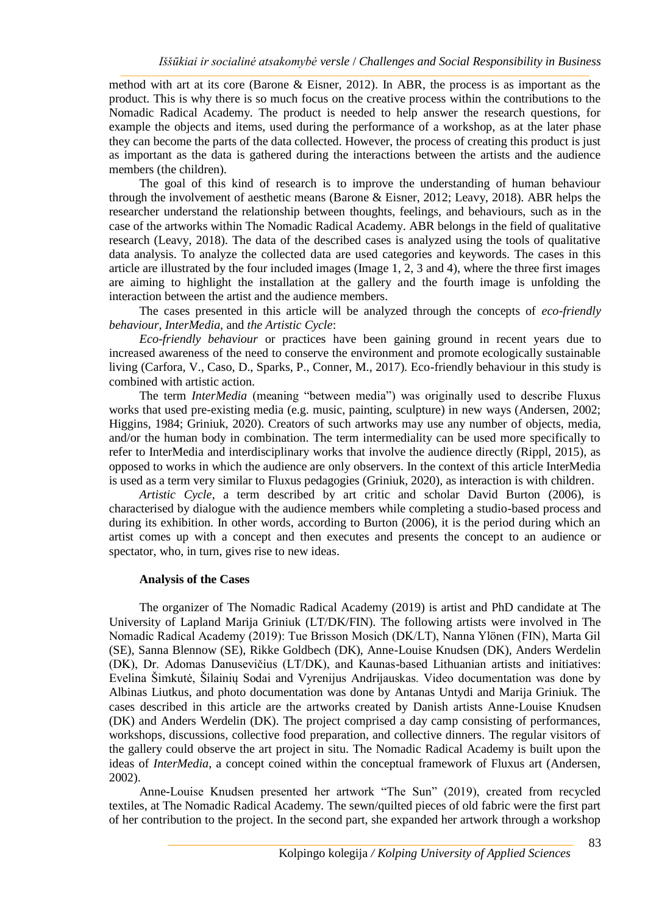method with art at its core (Barone & Eisner, 2012). In ABR, the process is as important as the product. This is why there is so much focus on the creative process within the contributions to the Nomadic Radical Academy. The product is needed to help answer the research questions, for example the objects and items, used during the performance of a workshop, as at the later phase they can become the parts of the data collected. However, the process of creating this product is just as important as the data is gathered during the interactions between the artists and the audience members (the children).

The goal of this kind of research is to improve the understanding of human behaviour through the involvement of aesthetic means (Barone & Eisner, 2012; Leavy, 2018). ABR helps the researcher understand the relationship between thoughts, feelings, and behaviours, such as in the case of the artworks within The Nomadic Radical Academy. ABR belongs in the field of qualitative research (Leavy, 2018). The data of the described cases is analyzed using the tools of qualitative data analysis. To analyze the collected data are used categories and keywords. The cases in this article are illustrated by the four included images (Image 1, 2, 3 and 4), where the three first images are aiming to highlight the installation at the gallery and the fourth image is unfolding the interaction between the artist and the audience members.

The cases presented in this article will be analyzed through the concepts of *eco-friendly* behaviour. InterMedia, and the Artistic Cycle:

Eco-friendly behaviour or practices have been gaining ground in recent years due to increased awareness of the need to conserve the environment and promote ecologically sustainable living (Carfora, V., Caso, D., Sparks, P., Conner, M., 2017). Eco-friendly behaviour in this study is combined with artistic action.

The term *InterMedia* (meaning "between media") was originally used to describe Fluxus works that used pre-existing media (e.g. music, painting, sculpture) in new ways (Andersen, 2002; Higgins, 1984; Griniuk, 2020). Creators of such artworks may use any number of objects, media. and/or the human body in combination. The term intermediality can be used more specifically to refer to InterMedia and interdisciplinary works that involve the audience directly (Rippl, 2015), as opposed to works in which the audience are only observers. In the context of this article InterMedia is used as a term very similar to Fluxus pedagogies (Griniuk, 2020), as interaction is with children.

Artistic Cycle, a term described by art critic and scholar David Burton (2006), is characterised by dialogue with the audience members while completing a studio-based process and during its exhibition. In other words, according to Burton (2006), it is the period during which an artist comes up with a concept and then executes and presents the concept to an audience or spectator, who, in turn, gives rise to new ideas.

#### **Analysis of the Cases**

The organizer of The Nomadic Radical Academy (2019) is artist and PhD candidate at The University of Lapland Marija Griniuk (LT/DK/FIN). The following artists were involved in The Nomadic Radical Academy (2019): Tue Brisson Mosich (DK/LT), Nanna Ylönen (FIN), Marta Gil (SE), Sanna Blennow (SE), Rikke Goldbech (DK), Anne-Louise Knudsen (DK), Anders Werdelin (DK). Dr. Adomas Danusevičius (LT/DK), and Kaunas-based Lithuanian artists and initiatives: Evelina Šimkutė, Šilainių Sodai and Vyrenijus Andrijauskas. Video documentation was done by Albinas Liutkus, and photo documentation was done by Antanas Untydi and Marija Griniuk. The cases described in this article are the artworks created by Danish artists Anne-Louise Knudsen (DK) and Anders Werdelin (DK). The project comprised a day camp consisting of performances, workshops, discussions, collective food preparation, and collective dinners. The regular visitors of the gallery could observe the art project in situ. The Nomadic Radical Academy is built upon the ideas of *InterMedia*, a concept coined within the conceptual framework of Fluxus art (Andersen,  $2002$ ).

Anne-Louise Knudsen presented her artwork "The Sun" (2019), created from recycled textiles, at The Nomadic Radical Academy. The sewn/quilted pieces of old fabric were the first part of her contribution to the project. In the second part, she expanded her artwork through a workshop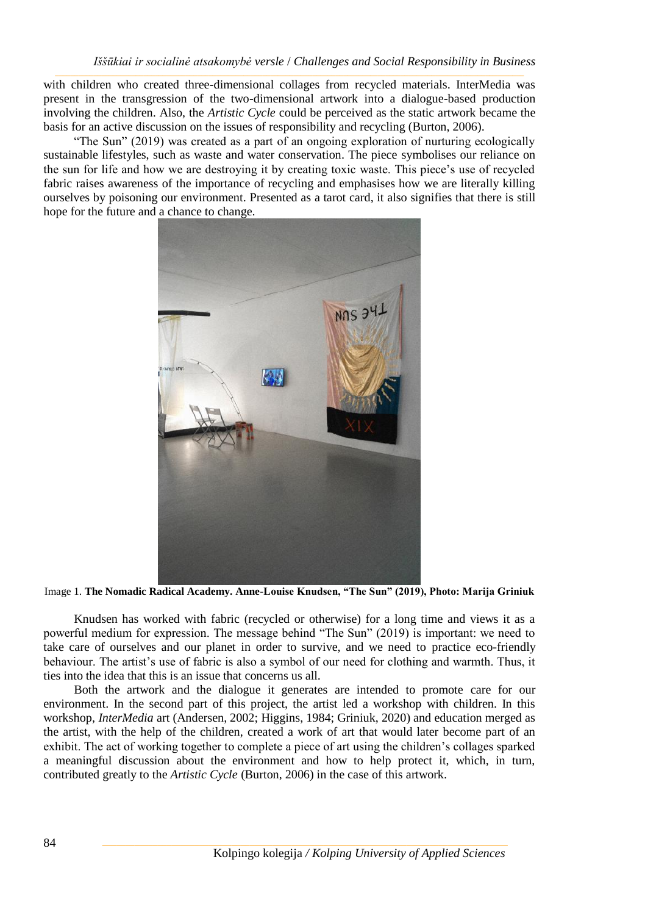with children who created three-dimensional collages from recycled materials. InterMedia was present in the transgression of the two-dimensional artwork into a dialogue-based production involving the children. Also, the Artistic Cycle could be perceived as the static artwork became the basis for an active discussion on the issues of responsibility and recycling (Burton, 2006).

"The Sun" (2019) was created as a part of an ongoing exploration of nurturing ecologically sustainable lifestyles, such as waste and water conservation. The piece symbolises our reliance on the sun for life and how we are destroving it by creating toxic waste. This piece's use of recycled fabric raises awareness of the importance of recycling and emphasises how we are literally killing ourselves by poisoning our environment. Presented as a tarot card, it also signifies that there is still hope for the future and a chance to change.



Image 1. The Nomadic Radical Academy. Anne-Louise Knudsen, "The Sun" (2019), Photo: Marija Griniuk

Knudsen has worked with fabric (recycled or otherwise) for a long time and views it as a powerful medium for expression. The message behind "The Sun" (2019) is important: we need to take care of ourselves and our planet in order to survive, and we need to practice eco-friendly behaviour. The artist's use of fabric is also a symbol of our need for clothing and warmth. Thus, it ties into the idea that this is an issue that concerns us all.

Both the artwork and the dialogue it generates are intended to promote care for our environment. In the second part of this project, the artist led a workshop with children. In this workshop, *InterMedia* art (Andersen, 2002; Higgins, 1984; Griniuk, 2020) and education merged as the artist, with the help of the children, created a work of art that would later become part of an exhibit. The act of working together to complete a piece of art using the children's collages sparked a meaningful discussion about the environment and how to help protect it, which, in turn, contributed greatly to the *Artistic Cycle* (Burton, 2006) in the case of this artwork.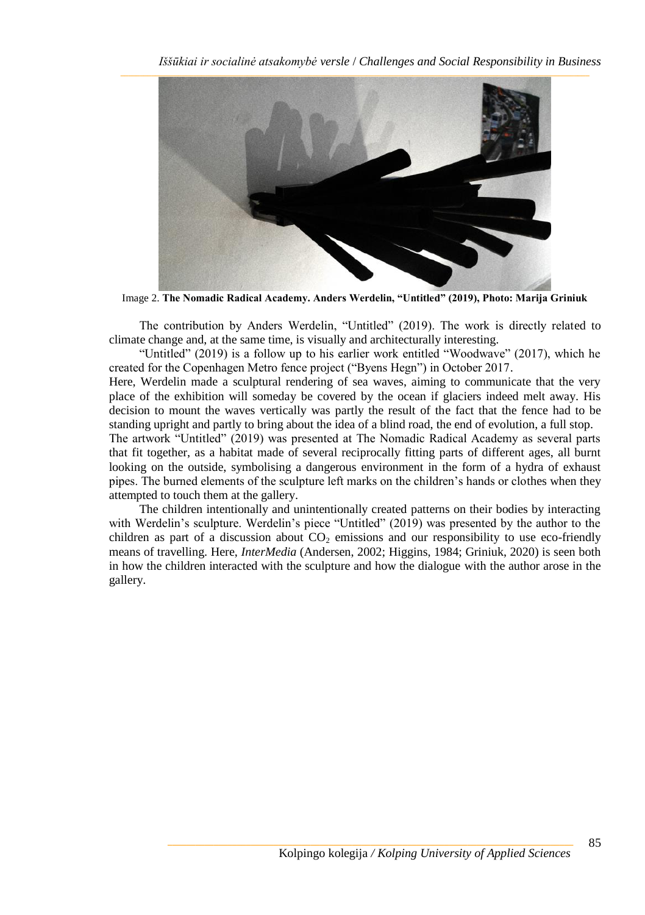

Image 2. **The Nomadic Radical Academy. Anders Werdelin, "Untitled" (2019), Photo: Marija Griniuk**

The contribution by Anders Werdelin, "Untitled" (2019). The work is directly related to climate change and, at the same time, is visually and architecturally interesting.

"Untitled" (2019) is a follow up to his earlier work entitled "Woodwave" (2017), which he created for the Copenhagen Metro fence project ("Byens Hegn") in October 2017.

Here, Werdelin made a sculptural rendering of sea waves, aiming to communicate that the very place of the exhibition will someday be covered by the ocean if glaciers indeed melt away. His decision to mount the waves vertically was partly the result of the fact that the fence had to be standing upright and partly to bring about the idea of a blind road, the end of evolution, a full stop.

The artwork "Untitled" (2019) was presented at The Nomadic Radical Academy as several parts that fit together, as a habitat made of several reciprocally fitting parts of different ages, all burnt looking on the outside, symbolising a dangerous environment in the form of a hydra of exhaust pipes. The burned elements of the sculpture left marks on the children's hands or clothes when they attempted to touch them at the gallery.

The children intentionally and unintentionally created patterns on their bodies by interacting with Werdelin's sculpture. Werdelin's piece "Untitled" (2019) was presented by the author to the children as part of a discussion about  $CO<sub>2</sub>$  emissions and our responsibility to use eco-friendly means of travelling. Here, *InterMedia* (Andersen, 2002; Higgins, 1984; Griniuk, 2020) is seen both in how the children interacted with the sculpture and how the dialogue with the author arose in the gallery.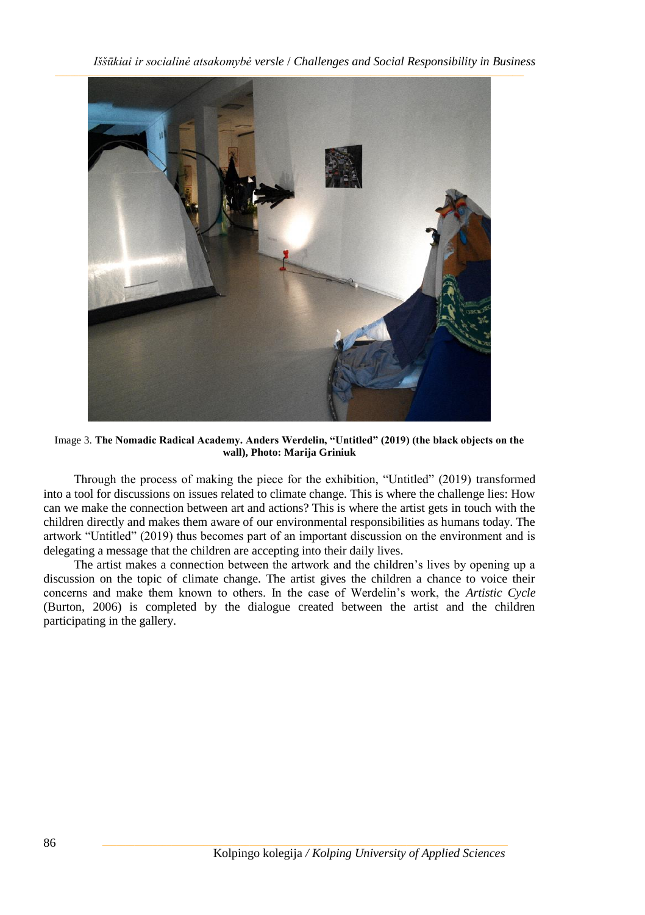*Iššūkiai ir socialinė atsakomybė versle* / *Challenges and Social Responsibility in Business*



Image 3. **The Nomadic Radical Academy. Anders Werdelin, "Untitled" (2019) (the black objects on the wall), Photo: Marija Griniuk**

Through the process of making the piece for the exhibition, "Untitled" (2019) transformed into a tool for discussions on issues related to climate change. This is where the challenge lies: How can we make the connection between art and actions? This is where the artist gets in touch with the children directly and makes them aware of our environmental responsibilities as humans today. The artwork "Untitled" (2019) thus becomes part of an important discussion on the environment and is delegating a message that the children are accepting into their daily lives.

The artist makes a connection between the artwork and the children's lives by opening up a discussion on the topic of climate change. The artist gives the children a chance to voice their concerns and make them known to others. In the case of Werdelin's work, the *Artistic Cycle* (Burton, 2006) is completed by the dialogue created between the artist and the children participating in the gallery.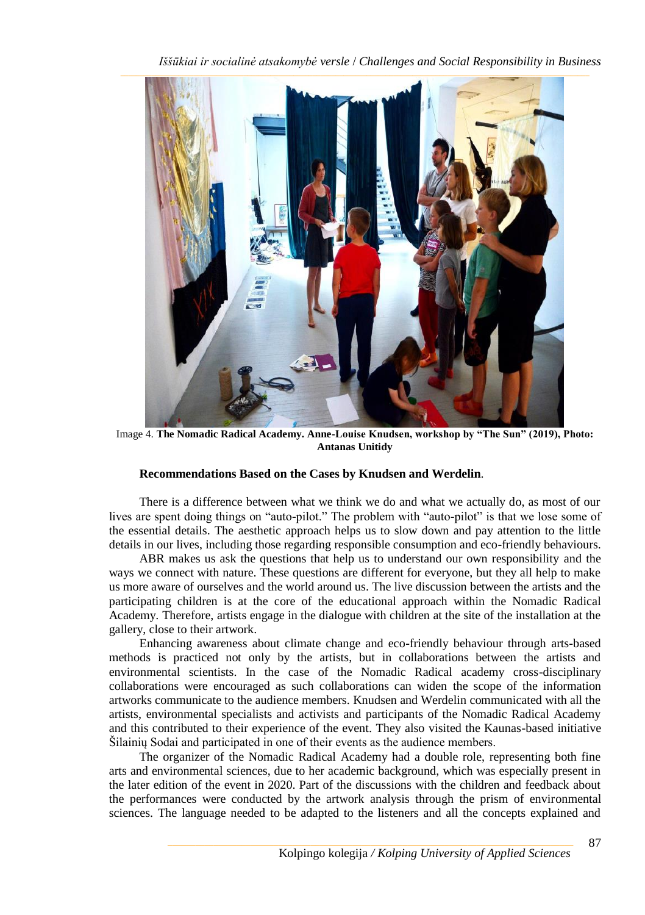

Image 4. The Nomadic Radical Academy. Anne-Louise Knudsen, workshop by "The Sun" (2019), Photo: **Antanas Unitidy** 

# Recommendations Based on the Cases by Knudsen and Werdelin.

There is a difference between what we think we do and what we actually do, as most of our lives are spent doing things on "auto-pilot." The problem with "auto-pilot" is that we lose some of the essential details. The aesthetic approach helps us to slow down and pay attention to the little details in our lives, including those regarding responsible consumption and eco-friendly behaviours.

ABR makes us ask the questions that help us to understand our own responsibility and the ways we connect with nature. These questions are different for everyone, but they all help to make us more aware of ourselves and the world around us. The live discussion between the artists and the participating children is at the core of the educational approach within the Nomadic Radical Academy. Therefore, artists engage in the dialogue with children at the site of the installation at the gallery, close to their artwork.

Enhancing awareness about climate change and eco-friendly behaviour through arts-based methods is practiced not only by the artists, but in collaborations between the artists and environmental scientists. In the case of the Nomadic Radical academy cross-disciplinary collaborations were encouraged as such collaborations can widen the scope of the information artworks communicate to the audience members. Knudsen and Werdelin communicated with all the artists, environmental specialists and activists and participants of the Nomadic Radical Academy and this contributed to their experience of the event. They also visited the Kaunas-based initiative Šilainių Sodai and participated in one of their events as the audience members.

The organizer of the Nomadic Radical Academy had a double role, representing both fine arts and environmental sciences, due to her academic background, which was especially present in the later edition of the event in 2020. Part of the discussions with the children and feedback about the performances were conducted by the artwork analysis through the prism of environmental sciences. The language needed to be adapted to the listeners and all the concepts explained and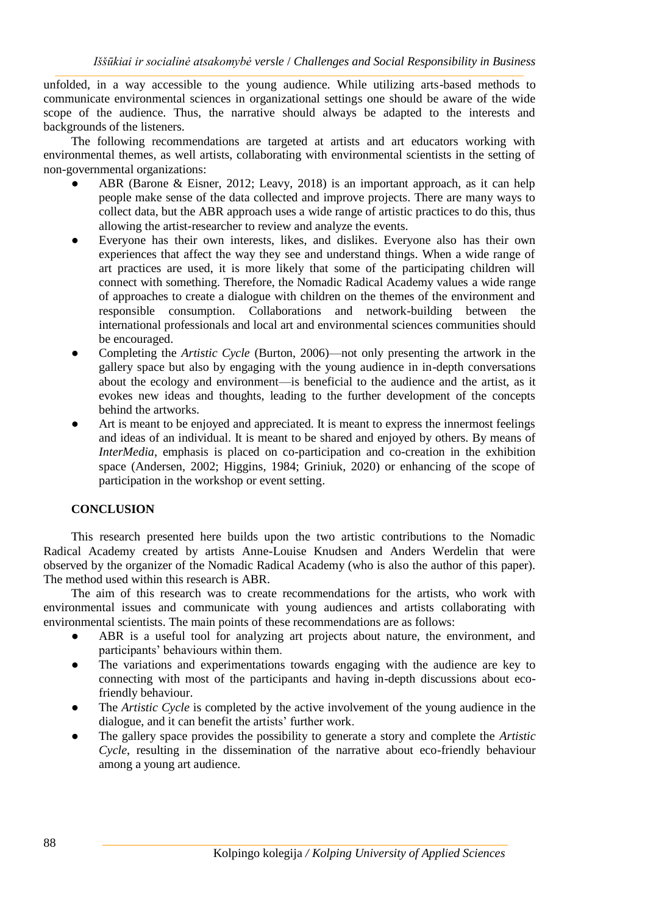unfolded, in a way accessible to the young audience. While utilizing arts-based methods to communicate environmental sciences in organizational settings one should be aware of the wide scope of the audience. Thus the narrative should always be adapted to the interests and backgrounds of the listeners.

The following recommendations are targeted at artists and art educators working with environmental themes, as well artists, collaborating with environmental scientists in the setting of non-governmental organizations:

- ABR (Barone & Eisner, 2012; Leavy, 2018) is an important approach, as it can help people make sense of the data collected and improve projects. There are many ways to collect data, but the ABR approach uses a wide range of artistic practices to do this, thus allowing the artist-researcher to review and analyze the events.
- Everyone has their own interests, likes, and dislikes. Everyone also has their own experiences that affect the way they see and understand things. When a wide range of art practices are used, it is more likely that some of the participating children will connect with something. Therefore, the Nomadic Radical Academy values a wide range of approaches to create a dialogue with children on the themes of the environment and responsible consumption. Collaborations and network-building between the international professionals and local art and environmental sciences communities should be encouraged.
- Completing the *Artistic Cycle* (Burton, 2006)—not only presenting the artwork in the  $\bullet$ gallery space but also by engaging with the young audience in in-depth conversations about the ecology and environment—is beneficial to the audience and the artist, as it evokes new ideas and thoughts, leading to the further development of the concepts behind the artworks.
- Art is meant to be enjoyed and appreciated. It is meant to express the innermost feelings and ideas of an individual. It is meant to be shared and enjoyed by others. By means of InterMedia, emphasis is placed on co-participation and co-creation in the exhibition space (Andersen, 2002; Higgins, 1984; Griniuk, 2020) or enhancing of the scope of participation in the workshop or event setting.

#### **CONCLUSION**

This research presented here builds upon the two artistic contributions to the Nomadic Radical Academy created by artists Anne-Louise Knudsen and Anders Werdelin that were observed by the organizer of the Nomadic Radical Academy (who is also the author of this paper). The method used within this research is ABR.

The aim of this research was to create recommendations for the artists, who work with environmental issues and communicate with young audiences and artists collaborating with environmental scientists. The main points of these recommendations are as follows:

- $\bullet$ ABR is a useful tool for analyzing art projects about nature, the environment, and participants' behaviours within them.
- The variations and experimentations towards engaging with the audience are key to connecting with most of the participants and having in-depth discussions about ecofriendly behaviour.
- The Artistic Cycle is completed by the active involvement of the young audience in the dialogue, and it can benefit the artists' further work.
- The gallery space provides the possibility to generate a story and complete the Artistic Cycle, resulting in the dissemination of the narrative about eco-friendly behaviour among a young art audience.